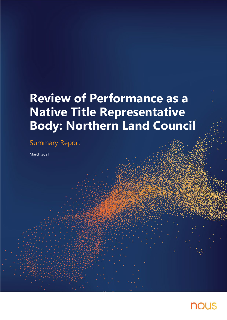# **Review of Performance as a Native Title Representative Body: Northern Land Council**

## Summary Report

March 2021

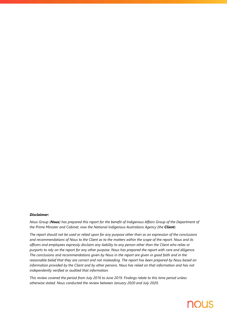#### *Disclaimer:*

*Nous Group (Nous) has prepared this report for the benefit of Indigenous Affairs Group of the Department of the Prime Minister and Cabinet, now the National Indigenous Australians Agency (the Client).* 

*The report should not be used or relied upon for any purpose other than as an expression of the conclusions and recommendations of Nous to the Client as to the matters within the scope of the report. Nous and its officers and employees expressly disclaim any liability to any person other than the Client who relies or purports to rely on the report for any other purpose. Nous has prepared the report with care and diligence. The conclusions and recommendations given by Nous in the report are given in good faith and in the reasonable belief that they are correct and not misleading. The report has been prepared by Nous based on information provided by the Client and by other persons. Nous has relied on that information and has not independently verified or audited that information.*

*This review covered the period from July 2016 to June 2019. Findings relate to this time period unless otherwise stated. Nous conducted the review between January 2020 and July 2020.*

## **NOUS**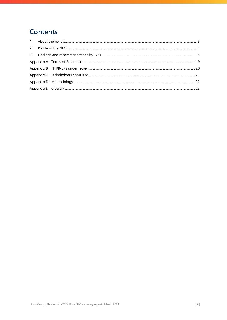### **Contents**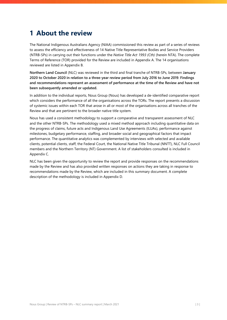### <span id="page-3-0"></span>**1 About the review**

The National Indigenous Australians Agency (NIAA) commissioned this review as part of a series of reviews to assess the efficiency and effectiveness of 14 Native Title Representative Bodies and Service Providers (NTRB-SPs) in carrying out their functions under the *Native Title Act 1993 (Cth)* (herein NTA). The complete Terms of Reference (TOR) provided for the Review are included i[n Appendix A.](#page-19-0) The 14 organisations reviewed are listed in [Appendix B.](#page-20-0)

**Northern Land Council** (NLC) was reviewed in the third and final tranche of NTRB-SPs, between **January 2020 to October 2020 in relation to a three-year review period from July 2016 to June 2019**. **Findings and recommendations represent an assessment of performance at the time of the Review and have not been subsequently amended or updated.**

In addition to the individual reports, Nous Group (Nous) has developed a de-identified comparative report which considers the performance of all the organisations across the TORs. The report presents a discussion of systemic issues within each TOR that arose in all or most of the organisations across all tranches of the Review and that are pertinent to the broader native title system.

Nous has used a consistent methodology to support a comparative and transparent assessment of NLC and the other NTRB-SPs. The methodology used a mixed method approach including quantitative data on the progress of claims, future acts and Indigenous Land Use Agreements (ILUAs), performance against milestones, budgetary performance, staffing, and broader social and geographical factors that impact performance. The quantitative analytics was complemented by interviews with selected and available clients, potential clients, staff, the Federal Court, the National Native Title Tribunal (NNTT), NLC Full Council members and the Northern Territory (NT) Government. A list of stakeholders consulted is included in [Appendix C.](#page-21-0) 

NLC has been given the opportunity to review the report and provide responses on the recommendations made by the Review and has also provided written responses on actions they are taking in response to recommendations made by the Review, which are included in this summary document. A complete description of the methodology is included in [Appendix D.](#page-22-0)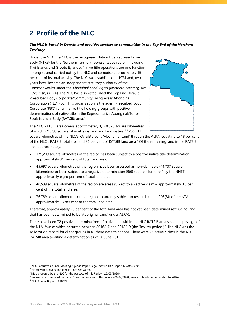## <span id="page-4-0"></span>**2 Profile of the NLC**

#### *The NLC is based in Darwin and provides services to communities in the Top End of the Northern Territory*

Under the NTA, the NLC is the recognised Native Title Representative Body (NTRB) for the Northern Territory representative region (including Tiwi Islands and Groote Eylandt). Native title operations are one function among several carried out by the NLC and comprise approximately 15 per cent of its total activity. The NLC was established in 1974 and, two years later, became an independent statutory authority of the Commonwealth under the *Aboriginal Land Rights (Northern Territory) Act 1976 (Cth)* (ALRA). The NLC has also established the Top End Default Prescribed Body Corporate/Community Living Areas Aboriginal Corporation (TED PBC). This organisation is the agent Prescribed Body Corporate (PBC) for all native title holding groups with positive determinations of native title in the Representative Aboriginal/Torres Strait Islander Body (RATSIB) area.<sup>[1](#page-4-1)</sup>



The NLC RATSIB area covers approximately 1,140,323 square kilometres, of which 571,7[3](#page-4-3)3 square kilometres is land and land waters. $2,3$  $2,3$  206,513

square kilometres of the NLC's RATSIB area is 'Aboriginal Land' through the ALRA, equating to 18 per cent of the NLC's RATSIB total area and 36 per cent of RATSIB land area.[4](#page-4-4) Of the remaining land in the RATSIB area approximately:

- 175,209 square kilometres of the region has been subject to a positive native title determination approximately 31 per cent of total land area.
- 45,697 square kilometres of the region have been assessed as non-claimable (44,737 square kilometres) or been subject to a negative determination (960 square kilometres) by the NNTT – approximately eight per cent of total land area.
- 48,539 square kilometres of the region are areas subject to an active claim approximately 8.5 per cent of the total land area.
- 76,789 square kilometres of the region is currently subject to research under 203(BJ) of the NTA approximately 13 per cent of the total land area.

Therefore, approximately 25 per cent of the total land area has not yet been determined (excluding land that has been determined to be 'Aboriginal Land' under ALRA).

There have been 72 positive determinations of native title within the NLC RATSIB area since the passage of the NTA, four of which occurred between 2016/17 and 2018/19 (the 'Review period').<sup>[5](#page-4-5)</sup> The NLC was the solicitor on record for client groups in all these determinations. There were 25 active claims in the NLC RATSIB area awaiting a determination as of 30 June 2019.

<sup>&</sup>lt;sup>1</sup> NLC Executive Council Meeting Agenda Paper: Legal, Native Title Report (29/04/2020).

<span id="page-4-2"></span><span id="page-4-1"></span> $2$  Flood waters, rivers and creeks – not sea water.

<span id="page-4-3"></span><sup>&</sup>lt;sup>3</sup> Map prepared by the NLC for the purpose of this Review (22/05/2020).

 $4$  Revised map prepared by the NLC for the purpose of this review (24/09/2020), refers to land claimed under the ALRA.

<span id="page-4-5"></span><span id="page-4-4"></span><sup>5</sup> NLC Annual Report 2018/19.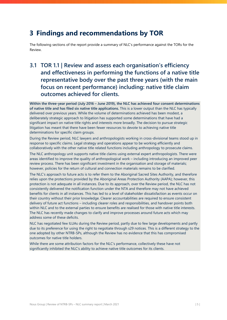### <span id="page-5-0"></span>**3 Findings and recommendations by TOR**

The following sections of the report provide a summary of NLC's performance against the TORs for the **Review** 

### **3.1 TOR 1.1 | Review and assess each organisation's efficiency and effectiveness in performing the functions of a native title representative body over the past three years (with the main focus on recent performance) including: native title claim outcomes achieved for clients.**

**Within the three-year period (July 2016 – June 2019), the NLC has achieved four consent determinations of native title and has filed six native title applications.** This is a lower output than the NLC has typically delivered over previous years. While the volume of determinations achieved has been modest, a deliberately strategic approach to litigation has supported some determinations that have had a significant impact on native title rights and interests more broadly. The decision to pursue strategic litigation has meant that there have been fewer resources to devote to achieving native title determinations for specific claim groups.

During the Review period, NLC lawyers and anthropologists working in cross-divisional teams stood up in response to specific claims. Legal strategy and operations appear to be working efficiently and collaboratively with the other native title related functions including anthropology to prosecute claims.

The NLC anthropology unit supports native title claims using external expert anthropologists. There were areas identified to improve the quality of anthropological work – including introducing an improved peer review process. There has been significant investment in the organisation and storage of materials; however, policies for the return of cultural and connection materials remains to be clarified.

The NLC's approach to future acts is to refer them to the Aboriginal Sacred Sites Authority, and therefore relies upon the protections provided by the Aboriginal Areas Protection Authority (AAPA); however, this protection is not adequate in all instances. Due to its approach, over the Review period, the NLC has not consistently delivered the notification function under the NTA and therefore may not have achieved benefits for clients in all instances. This has led to a level of stakeholder dissatisfaction as events occur on their country without their prior knowledge. Clearer accountabilities are required to ensure consistent delivery of future act functions – including clearer roles and responsibilities, and handover points both within NLC and to the external parties to ensure benefits are realised for those with native title interests. The NLC has recently made changes to clarify and improve processes around future acts which may address some of these deficits.

NLC has negotiated few ILUAs during the Review period, partly due to few large developments and partly due to its preference for using the right to negotiate through s29 notices. This is a different strategy to the one adopted by other NTRB-SPs, although the Review has no evidence that this has compromised outcomes for native title holders.

While there are some attribution factors for the NLC's performance, collectively these have not significantly inhibited the NLC's ability to achieve native title outcomes for its clients.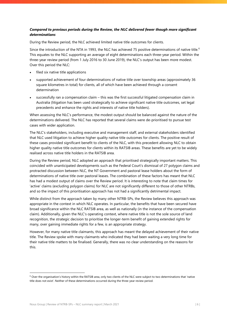#### *Compared to previous periods during the Review, the NLC delivered fewer though more significant determinations*

During the Review period, the NLC achieved limited native title outcomes for clients.

Since the introduction of the NTA in 1993, the NLC has achieved 75 positive determinations of native title.<sup>[6](#page-6-0)</sup> This equates to the NLC supporting an average of eight determinations each three-year period. Within the three-year review period (from 1 July 2016 to 30 June 2019), the NLC's output has been more modest. Over this period the NLC:

- filed six native title applications
- supported achievement of four determinations of native title over township areas (approximately 36 square kilometres in total) for clients, all of which have been achieved through a consent determination
- successfully ran a compensation claim this was the first successful litigated compensation claim in Australia (litigation has been used strategically to achieve significant native title outcomes, set legal precedents and enhance the rights and interests of native title holders).

When assessing the NLC's performance, the modest output should be balanced against the nature of the determinations delivered. The NLC has reported that several claims were de-prioritised to pursue test cases with wider application.

The NLC's stakeholders, including executive and management staff, and external stakeholders identified that NLC used litigation to achieve higher quality native title outcomes for clients. The positive result of these cases provided significant benefit to clients of the NLC, with this precedent allowing NLC to obtain higher quality native title outcomes for clients within its RATSIB areas. These benefits are yet to be widely realised across native title holders in the RATSIB area.

During the Review period, NLC adopted an approach that prioritised strategically important matters. This coincided with unanticipated developments such as the Federal Court's dismissal of 27 polygon claims and protracted discussion between NLC, the NT Government and pastoral lease holders about the form of determinations of native title over pastoral leases. The combination of these factors has meant that NLC has had a modest output of claims over the Review period. It is interesting to note that claim times for 'active' claims (excluding polygon claims) for NLC are not significantly different to those of other NTRBs, and so the impact of this prioritisation approach has not had a significantly detrimental impact.

While distinct from the approach taken by many other NTRB-SPs, the Review believes this approach was appropriate in the context in which NLC operates. In particular, the benefits that have been secured have broad significance within the NLC RATSIB area, as well as nationally (in the instance of the compensation claim). Additionally, given the NLC's operating context, where native title is not the sole source of land recognition, the strategic decision to prioritise the longer-term benefit of gaining extended rights for many, over gaining immediate rights for a few, is an appropriate strategy.

However, for many native title claimants, this approach has meant the delayed achievement of their native title. The Review spoke with many claimants who indicated they had been waiting a very long time for their native title matters to be finalised. Generally, there was no clear understanding on the reasons for this.

<span id="page-6-0"></span> $6$  Over the organisation's history within the RATSIB area, only two clients of the NLC were subject to two determinations that 'native title does not exist'. Neither of these determinations occurred during the three-year review period.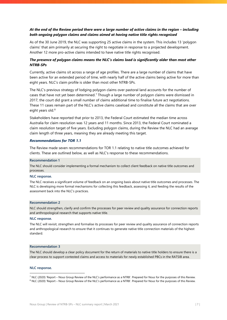#### *At the end of the Review period there were a large number of active claims in the region – including both ongoing polygon claims and claims aimed at having native title rights recognised*

As of the 30 June 2019, the NLC was supporting 25 active claims in the system. This includes 13 'polygon claims' that aim primarily at securing the right to negotiate in response to a projected development. Another 12 more pro-active claims intended to have native title rights recognised.

#### *The presence of polygon claims means the NLC's claims load is significantly older than most other NTRB-SPs*

Currently, active claims sit across a range of age profiles. There are a large number of claims that have been active for an extended period of time, with nearly half of the active claims being active for more than eight years. NLC's claim profile is older than most other NTRB-SPs.

The NLC's previous strategy of lodging polygon claims over pastoral land accounts for the number of cases that have not yet been determined.[7](#page-7-0) Though a large number of polygon claims were dismissed in 2017, the court did grant a small number of claims additional time to finalise future act negotiations. These 11 cases remain part of the NLC's active claims caseload and constitute all the claims that are over eight years old.<sup>[8](#page-7-1)</sup>

Stakeholders have reported that prior to 2013, the Federal Court estimated the median time across Australia for claim resolution was 12 years and 11 months. Since 2013, the Federal Court nominated a claim resolution target of five years. Excluding polygon claims, during the Review the NLC had an average claim length of three years, meaning they are already meeting this target.

#### *Recommendations for TOR 1.1*

The Review made seven recommendations for TOR 1.1 relating to native title outcomes achieved for clients. These are outlined below, as well as NLC's response to these recommendations.

#### **Recommendation 1**

The NLC should consider implementing a formal mechanism to collect client feedback on native title outcomes and processes.

#### **NLC response.**

The NLC receives a significant volume of feedback on an ongoing basis about native title outcomes and processes. The NLC is developing more formal mechanisms for collecting this feedback, assessing it, and feeding the results of the assessment back into the NLC's practices.

#### **Recommendation 2**

NLC should strengthen, clarify and confirm the processes for peer review and quality assurance for connection reports and anthropological research that supports native title.

#### **NLC response.**

The NLC will revisit, strengthen and formalise its processes for peer review and quality assurance of connection reports and anthropological research to ensure that it continues to generate native title connection materials of the highest standard.

#### **Recommendation 3**

The NLC should develop a clear policy document for the return of materials to native title holders to ensure there is a clear process to support contested claims and access to materials for newly established PBCs in the RATSIB area.

#### **NLC response.**

<span id="page-7-0"></span><sup>&</sup>lt;sup>7</sup> NLC (2020) 'Report – Nous Group Review of the NLC's performance as a NTRB'. Prepared for Nous for the purposes of this Review.<br><sup>8</sup> NLC (2020) 'Report – Nous Group Review of the NLC's performance as a NTRB'. Prepared f

<span id="page-7-1"></span>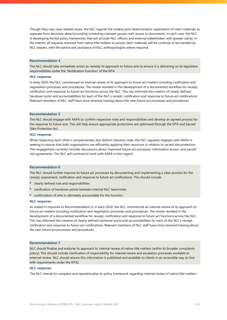Though they may raise related issues, the NLC regards the orderly post-determination repatriation of claim materials as separate from decisions about providing contesting claimant groups with access to documents. In each case, the NLC is developing formal policy frameworks that will provide NLC officers and external stakeholders with greater clarity. In the interim, all requests received from native title holders to access claim materials will be continue to be handled by NLC lawyers, with the advice and assistance of NLC anthropologists where required.

#### **Recommendation 4**

The NLC should take immediate action to remedy its approach to future acts to ensure it is delivering on its legislative responsibilities under the 'Notification Function' of the NTA.

#### **NLC response.**

In early 2020, the NLC commenced an internal review of its approach to future act matters including notification and negotiation processes and procedures. The review resulted in the development of a documented workflow for receipt, notification and response to future act functions across the NLC. This has informed the creation of clearly defined handover point and accountabilities for each of the NLC's receipt, notification and response to future act notifications. Relevant members of NLC staff have since received training about the new future act processes and procedures.

#### **Recommendation 5**

The NLC should engage with AAPA to confirm respective roles and responsibilities and develop an agreed process for the response to future acts. This will help ensure appropriate protections are optimised through the NTA and Sacred Sites Protection Act.

#### **NLC response.**

While respecting each other's complementary but distinct statutory roles, the NLC regularly engages with AAPA in seeking to ensure that both organisations are efficiently applying their resources in relation to sacred site protection. This engagement currently includes discussions about improved future act processes, information access, and sacred site agreements. The NLC will continue to work with AAPA in this regard.

#### **Recommendation 6**

The NLC should further improve its future act processes by documenting and implementing a clear process for the receipt, assessment, notification and response to future act notifications. This should include:

- clearly defined role and responsibilities
- clarification of handover points between internal NLC team/roles
- confirmation of who is ultimately accountable for this function.

#### **NLC response.**

As stated in response to Recommendation 4, in early 2020, the NLC commenced an internal review of its approach to future act matters including notification and negotiation processes and procedures. The review resulted in the development of a documented workflow for receipt, notification and response to future act functions across the NLC. This has informed the creation of clearly defined handover point and accountabilities for each of the NLC's receipt, notification and response to future act notifications. Relevant members of NLC staff have since received training about the new future act processes and procedures.

#### **Recommendation 7**

NLC should finalise and endorse its approach to internal review of native title matters (within its broader complaints policy). This should include clarification of responsibility for internal review and escalation processes available to external review. NLC should ensure this information is published and available to clients in an accessible way (in line with requirements under the NTA).

#### **NLC response.**

The NLC intends to complete and operationalise its policy framework regarding internal review of native title matters.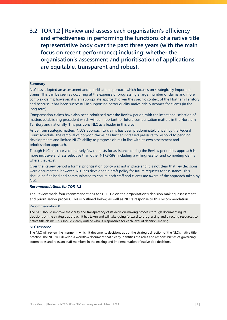**3.2 TOR 1.2 | Review and assess each organisation's efficiency and effectiveness in performing the functions of a native title representative body over the past three years (with the main focus on recent performance) including: whether the organisation's assessment and prioritisation of applications are equitable, transparent and robust.**

#### **Summary**

NLC has adopted an assessment and prioritisation approach which focuses on strategically important claims. This can be seen as occurring at the expense of progressing a larger number of claims and more complex claims; however, it is an appropriate approach given the specific context of the Northern Territory and because it has been successful in supporting better quality native title outcomes for clients (in the long term).

Compensation claims have also been prioritised over the Review period, with the intentional selection of matters establishing precedent which will be important for future compensation matters in the Northern Territory and nationally. This positions NLC as a leader in this area.

Aside from strategic matters, NLC's approach to claims has been predominately driven by the Federal Court schedule. The removal of polygon claims has further increased pressure to respond to pending developments and limited NLC's ability to progress claims in line with its own assessment and prioritisation approach.

Though NLC has received relatively few requests for assistance during the Review period, its approach is more inclusive and less selective than other NTRB-SPs, including a willingness to fund competing claims where they exist.

Over the Review period a formal prioritisation policy was not in place and it is not clear that key decisions were documented; however, NLC has developed a draft policy for future requests for assistance. This should be finalised and communicated to ensure both staff and clients are aware of the approach taken by  $NIC$ .

#### *Recommendations for TOR 1.2*

The Review made four recommendations for TOR 1.2 on the organisation's decision making, assessment and prioritisation process. This is outlined below, as well as NLC's response to this recommendation.

#### **Recommendation 8**

The NLC should improve the clarity and transparency of its decision-making process through documenting its decisions on the strategic approach it has taken and will take going forward to progressing and directing resources to native title claims. This should clearly outline who is responsible for each level of decision-making.

#### **NLC response.**

The NLC will review the manner in which it documents decisions about the strategic direction of the NLC's native title practice. The NLC will develop a workflow document that clearly identifies the roles and responsibilities of governing committees and relevant staff members in the making and implementation of native title decisions.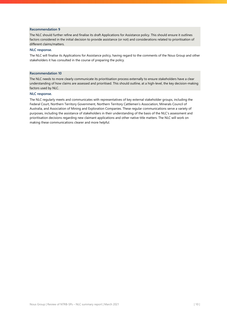#### **Recommendation 9**

The NLC should further refine and finalise its draft Applications for Assistance policy. This should ensure it outlines factors considered in the initial decision to provide assistance (or not) and considerations related to prioritisation of different claims/matters.

#### **NLC response.**

The NLC will finalise its Applications for Assistance policy, having regard to the comments of the Nous Group and other stakeholders it has consulted in the course of preparing the policy.

#### **Recommendation 10**

The NLC needs to more clearly communicate its prioritisation process externally to ensure stakeholders have a clear understanding of how claims are assessed and prioritised. This should outline, at a high-level, the key decision-making factors used by NLC.

#### **NLC response.**

The NLC regularly meets and communicates with representatives of key external stakeholder groups, including the Federal Court, Northern Territory Government, Northern Territory Cattlemen's Association, Minerals Council of Australia, and Association of Mining and Exploration Companies. These regular communications serve a variety of purposes, including the assistance of stakeholders in their understanding of the basis of the NLC's assessment and prioritisation decisions regarding new claimant applications and other native title matters. The NLC will work on making these communications clearer and more helpful.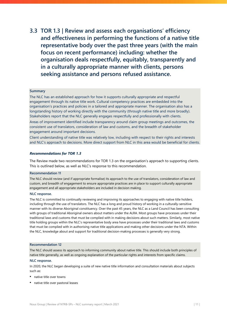**3.3 TOR 1.3 | Review and assess each organisations' efficiency and effectiveness in performing the functions of a native title representative body over the past three years (with the main focus on recent performance) including: whether the organisation deals respectfully, equitably, transparently and in a culturally appropriate manner with clients, persons seeking assistance and persons refused assistance.**

#### **Summary**

The NLC has an established approach for how it supports culturally appropriate and respectful engagement through its native title work. Cultural competency practices are embedded into the organisation's practices and policies in a tailored and appropriate manner. The organisation also has a longstanding history of working directly with the community (through native title and more broadly). Stakeholders report that the NLC generally engages respectfully and professionally with clients.

Areas of improvement identified include transparency around claim group meetings and outcomes, the consistent use of translators, consideration of law and customs, and the breadth of stakeholder engagement around important decisions.

Client understanding of native title was relatively low, including with respect to their rights and interests and NLC's approach to decisions. More direct support from NLC in this area would be beneficial for clients.

#### *Recommendations for TOR 1.3*

The Review made two recommendations for TOR 1.3 on the organisation's approach to supporting clients. This is outlined below, as well as NLC's response to this recommendation.

#### **Recommendation 11**

The NLC should review (and if appropriate formalise) its approach to the use of translators, consideration of law and custom, and breadth of engagement to ensure appropriate practices are in place to support culturally appropriate engagement and all appropriate stakeholders are included in decision making.

#### **NLC response.**

The NLC is committed to continually reviewing and improving its approaches to engaging with native title holders, including through the use of translators. The NLC has a long and proud history of working in a culturally-sensitive manner with its diverse Aboriginal constituency. Over the past 45 years, the NLC as a Land Council has been consulting with groups of traditional Aboriginal owners about matters under the ALRA. Most groups have processes under their traditional laws and customs that must be complied with in making decisions about such matters. Similarly, most native title holding groups within the NLC's representative body area have processes under their traditional laws and customs that must be complied with in authorising native title applications and making other decisions under the NTA. Within the NLC, knowledge about and support for traditional decision-making processes is generally very strong.

#### **Recommendation 12**

The NLC should assess its approach to informing community about native title. This should include both principles of native title generally, as well as ongoing explanation of the particular rights and interests from specific claims.

#### **NLC response.**

In 2020, the NLC began developing a suite of new native title information and consultation materials about subjects such as:

- native title over towns
- native title over pastoral leases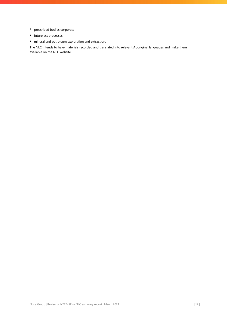- prescribed bodies corporate
- future act processes
- mineral and petroleum exploration and extraction.

The NLC intends to have materials recorded and translated into relevant Aboriginal languages and make them available on the NLC website.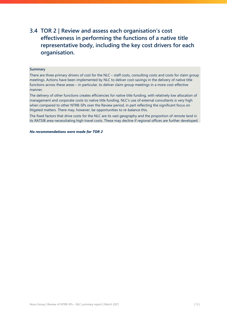### **3.4 TOR 2 | Review and assess each organisation's cost effectiveness in performing the functions of a native title representative body, including the key cost drivers for each organisation.**

#### **Summary**

There are three primary drivers of cost for the NLC – staff costs, consulting costs and costs for claim group meetings. Actions have been implemented by NLC to deliver cost-savings in the delivery of native title functions across these areas – in particular, to deliver claim group meetings in a more cost-effective manner.

The delivery of other functions creates efficiencies for native title funding, with relatively low allocation of management and corporate costs to native title funding. NLC's use of external consultants is very high when compared to other NTRB-SPs over the Review period, in part reflecting the significant focus on litigated matters. There may, however, be opportunities to re-balance this.

The fixed factors that drive costs for the NLC are its vast geography and the proportion of remote land in its RATSIB area necessitating high travel costs. These may decline if regional offices are further developed.

#### *No recommendations were made for TOR 2*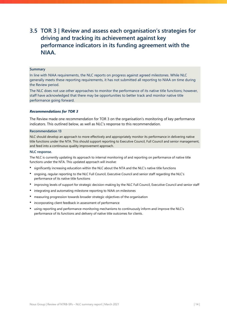### **3.5 TOR 3 | Review and assess each organisation's strategies for driving and tracking its achievement against key performance indicators in its funding agreement with the NIAA.**

#### **Summary**

In line with NIAA requirements, the NLC reports on progress against agreed milestones. While NLC generally meets these reporting requirements, it has not submitted all reporting to NIAA on time during the Review period.

The NLC does not use other approaches to monitor the performance of its native title functions; however, staff have acknowledged that there may be opportunities to better track and monitor native title performance going forward.

#### *Recommendations for TOR 3*

The Review made one recommendation for TOR 3 on the organisation's monitoring of key performance indicators. This outlined below, as well as NLC's response to this recommendation.

#### **Recommendation 13**

NLC should develop an approach to more effectively and appropriately monitor its performance in delivering native title functions under the NTA. This should support reporting to Executive Council, Full Council and senior management, and feed into a continuous quality improvement approach.

#### **NLC response.**

The NLC is currently updating its approach to internal monitoring of and reporting on performance of native title functions under the NTA. This updated approach will involve:

- significantly increasing education within the NLC about the NTA and the NLC's native title functions
- ongoing, regular reporting to the NLC Full Council, Executive Council and senior staff regarding the NLC's performance of its native title functions
- improving levels of support for strategic decision-making by the NLC Full Council, Executive Council and senior staff
- integrating and automating milestone reporting to NIAA on milestones
- measuring progression towards broader strategic objectives of the organisation
- incorporating client feedback in assessment of performance
- using reporting and performance-monitoring mechanisms to continuously inform and improve the NLC's performance of its functions and delivery of native title outcomes for clients.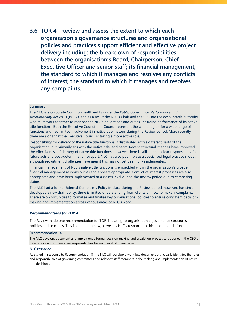**3.6 TOR 4 | Review and assess the extent to which each organisation's governance structures and organisational policies and practices support efficient and effective project delivery including: the breakdown of responsibilities between the organisation's Board, Chairperson, Chief Executive Officer and senior staff; its financial management; the standard to which it manages and resolves any conflicts of interest; the standard to which it manages and resolves any complaints.**

#### **Summary**

The NLC is a corporate Commonwealth entity under the *Public Governance, Performance and Accountability Act 2013* (PGPA), and as a result the NLC's Chair and the CEO are the accountable authority who must work together to manage the NLC's obligations and duties, including performance of its native title functions. Both the Executive Council and Council represent the whole region for a wide range of functions and had limited involvement in native title matters during the Review period. More recently, there are signs that the Executive Council is taking a more active role.

Responsibility for delivery of the native title functions is distributed across different parts of the organisation, but primarily sits with the native title legal team. Recent structural changes have improved the effectiveness of delivery of native title functions, however, there is still some unclear responsibility for future acts and post-determination support. NLC has also put in place a specialised legal practice model, although recruitment challenges have meant this has not yet been fully implemented.

Financial management of NLC's native title functions is embedded within the organisation's broader financial management responsibilities and appears appropriate. Conflict of interest processes are also appropriate and have been implemented at a claims level during the Review period due to competing claims.

The NLC had a formal External Complaints Policy in place during the Review period, however, has since developed a new draft policy: there is limited understanding from clients on how to make a complaint. There are opportunities to formalise and finalise key organisational policies to ensure consistent decisionmaking and implementation across various areas of NLC's work.

#### *Recommendations for TOR 4*

The Review made one recommendation for TOR 4 relating to organisational governance structures, policies and practices. This is outlined below, as well as NLC's response to this recommendation.

#### **Recommendation 14**

The NLC develop, document and implement a formal decision making and escalation process to sit beneath the CEO's delegations and outline clear responsibilities for each level of management.

#### **NLC response.**

As stated in response to Recommendation 8, the NLC will develop a workflow document that clearly identifies the roles and responsibilities of governing committees and relevant staff members in the making and implementation of native title decisions.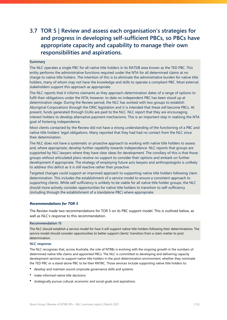### **3.7 TOR 5 | Review and assess each organisation's strategies for and progress in developing self-sufficient PBCs, so PBCs have appropriate capacity and capability to manage their own responsibilities and aspirations.**

#### **Summary**

The NLC operates a single PBC for all native title holders in its RATSIB area known as the TED PBC. This entity performs the administrative functions required under the NTA for all determined claims at no charge to native title holders. The intention of this is to eliminate the administrative burden for native title holders, many of whom may not have the knowledge and skills to operate a compliant PBC. Most external stakeholders support this approach as appropriate.

The NLC reports that it informs claimants as they approach determination dates of a range of options to fulfil their obligations under the NTA; however, to date no independent PBC has been stood up at determination stage. During the Review period, the NLC has worked with two groups to establish Aboriginal Corporations through the ORIC legislation and it is intended that these will become PBCs. At present, funds generated through ILUAs are paid to the NLC. NLC report that they are encouraging interest holders to develop alternative payment mechanisms. This is an important step in realising the NTA goal of fostering independence.

Most clients contacted by the Review did not have a strong understanding of the functioning of a PBC and native title holders' legal obligations. Many reported that they had had no contact from the NLC since their determination.

The NLC does not have a systematic or proactive approach to working with native title holders to assess and, where appropriate, develop further capability towards independence. NLC reports that groups are supported by NLC lawyers where they have clear ideas for development. The corollary of this is that those groups without articulated plans receive no support to consider their options and embark on further development if appropriate. The strategy of employing future acts lawyers and anthropologists is unlikely to address this deficit as it is still reactive rather than proactive.

Targeted changes could support an improved approach to supporting native title holders following claim determination. This includes the establishment of a service model to ensure a consistent approach to supporting clients. While self-sufficiency is unlikely to be viable for all native title holder groups, the NLC should more actively consider opportunities for native title holders to transition to self-sufficiency (including through the establishment of a standalone PBC) where appropriate.

#### *Recommendations for TOR 5*

The Review made two recommendations for TOR 5 on its PBC support model. This is outlined below, as well as NLC's response to this recommendation.

#### **Recommendation 15**

The NLC should establish a service model for how it will support native title holders following their determinations. The service model should consider opportunities to better support clients' transition from a claim matter to post determination.

#### **NLC response.**

The NLC recognises that, across Australia, the role of NTRBs is evolving with the ongoing growth in the numbers of determined native title claims and appointed PBCs. The NLC is committed to developing and delivering capacity development services to support native title holders in the post-determination environment, whether they nominate the TED PBC or a stand-alone PBC to be their RNTBC. Those services include supporting native title holders to:

- develop and maintain sound corporate governance skills and systems
- make informed native title decisions
- strategically pursue cultural, economic and social goals and aspirations.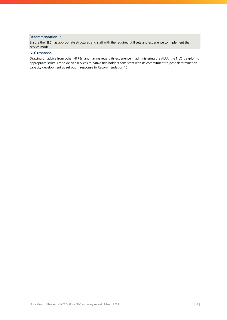#### **Recommendation 16**

Ensure the NLC has appropriate structures and staff with the required skill sets and experience to implement the service model.

#### **NLC response.**

Drawing on advice from other NTRBs, and having regard its experience in administering the ALRA, the NLC is exploring appropriate structures to deliver services to native title holders consistent with its commitment to post-determination capacity development as set out in response to Recommendation 15.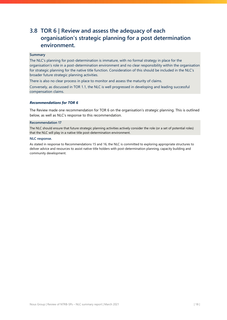### **3.8 TOR 6 | Review and assess the adequacy of each organisation's strategic planning for a post determination environment.**

#### **Summary**

The NLC's planning for post-determination is immature, with no formal strategy in place for the organisation's role in a post-determination environment and no clear responsibility within the organisation for strategic planning for the native title function. Consideration of this should be included in the NLC's broader future strategic planning activities.

There is also no clear process in place to monitor and assess the maturity of claims.

Conversely, as discussed in TOR 1.1, the NLC is well progressed in developing and leading successful compensation claims.

#### *Recommendations for TOR 6*

The Review made one recommendation for TOR 6 on the organisation's strategic planning. This is outlined below, as well as NLC's response to this recommendation.

#### **Recommendation 17**

The NLC should ensure that future strategic planning activities actively consider the role (or a set of potential roles) that the NLC will play in a native title post-determination environment.

#### **NLC response.**

As stated in response to Recommendations 15 and 16, the NLC is committed to exploring appropriate structures to deliver advice and resources to assist native title holders with post-determination planning, capacity building and community development.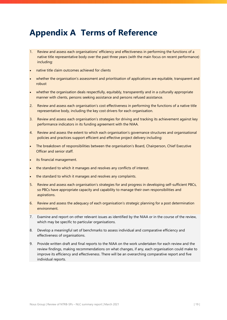## <span id="page-19-0"></span>**Appendix A Terms of Reference**

- 1. Review and assess each organisations' efficiency and effectiveness in performing the functions of a native title representative body over the past three years (with the main focus on recent performance) including:
- native title claim outcomes achieved for clients
- whether the organisation's assessment and prioritisation of applications are equitable, transparent and robust
- whether the organisation deals respectfully, equitably, transparently and in a culturally appropriate manner with clients, persons seeking assistance and persons refused assistance.
- 2. Review and assess each organisation's cost effectiveness in performing the functions of a native title representative body, including the key cost drivers for each organisation.
- 3. Review and assess each organisation's strategies for driving and tracking its achievement against key performance indicators in its funding agreement with the NIAA.
- 4. Review and assess the extent to which each organisation's governance structures and organisational policies and practices support efficient and effective project delivery including:
- The breakdown of responsibilities between the organisation's Board, Chairperson, Chief Executive Officer and senior staff.
- its financial management.
- the standard to which it manages and resolves any conflicts of interest.
- the standard to which it manages and resolves any complaints.
- 5. Review and assess each organisation's strategies for and progress in developing self-sufficient PBCs, so PBCs have appropriate capacity and capability to manage their own responsibilities and aspirations.
- 6. Review and assess the adequacy of each organisation's strategic planning for a post determination environment.
- 7. Examine and report on other relevant issues as identified by the NIAA or in the course of the review, which may be specific to particular organisations.
- 8. Develop a meaningful set of benchmarks to assess individual and comparative efficiency and effectiveness of organisations.
- 9. Provide written draft and final reports to the NIAA on the work undertaken for each review and the review findings, making recommendations on what changes, if any, each organisation could make to improve its efficiency and effectiveness. There will be an overarching comparative report and five individual reports.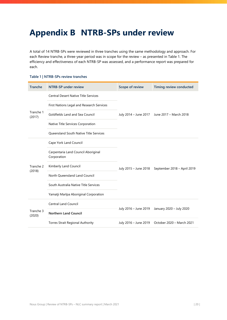## <span id="page-20-0"></span>**Appendix B NTRB-SPs under review**

A total of 14 NTRB-SPs were reviewed in three tranches using the same methodology and approach. For each Review tranche, a three-year period was in scope for the review – as presented in [Table 1.](#page-20-1) The efficiency and effectiveness of each NTRB-SP was assessed, and a performance report was prepared for each.

#### <span id="page-20-1"></span>**Table 1 | NTRB-SPs review tranches**

| <b>Tranche</b>      | <b>NTRB-SP under review</b>                        | Scope of review       | Timing review conducted                      |
|---------------------|----------------------------------------------------|-----------------------|----------------------------------------------|
|                     | <b>Central Desert Native Title Services</b>        |                       | July 2014 - June 2017 June 2017 - March 2018 |
|                     | First Nations Legal and Research Services          |                       |                                              |
| Tranche 1<br>(2017) | Goldfields Land and Sea Council                    |                       |                                              |
|                     | Native Title Services Corporation                  |                       |                                              |
|                     | <b>Oueensland South Native Title Services</b>      |                       |                                              |
|                     | Cape York Land Council                             | July 2015 - June 2018 | September 2018 - April 2019                  |
|                     | Carpentaria Land Council Aboriginal<br>Corporation |                       |                                              |
| Tranche 2           | Kimberly Land Council                              |                       |                                              |
| (2018)              | North Queensland Land Council                      |                       |                                              |
|                     | South Australia Native Title Services              |                       |                                              |
|                     | Yamatji Marlpa Aboriginal Corporation              |                       |                                              |
|                     | Central Land Council                               |                       | January 2020 - July 2020                     |
| Tranche 3<br>(2020) | <b>Northern Land Council</b>                       | July 2016 - June 2019 |                                              |
|                     | Torres Strait Regional Authority                   | July 2016 - June 2019 | October 2020 - March 2021                    |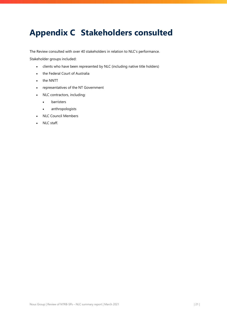## <span id="page-21-0"></span>**Appendix C Stakeholders consulted**

The Review consulted with over 40 stakeholders in relation to NLC's performance.

Stakeholder groups included:

- clients who have been represented by NLC (including native title holders)
- the Federal Court of Australia
- the NNTT
- representatives of the NT Government
- NLC contractors, including:
	- barristers
	- anthropologists
- NLC Council Members
- NLC staff.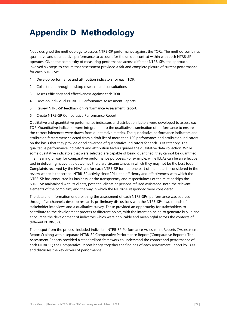## <span id="page-22-0"></span>**Appendix D Methodology**

Nous designed the methodology to assess NTRB-SP performance against the TORs. The method combines qualitative and quantitative performance to account for the unique context within with each NTRB-SP operates. Given the complexity of measuring performance across different NTRB-SPs, the approach involved six steps to ensure that assessment provided a fair and complete picture of current performance for each NTRB-SP:

- 1. Develop performance and attribution indicators for each TOR.
- 2. Collect data through desktop research and consultations.
- 3. Assess efficiency and effectiveness against each TOR.
- 4. Develop individual NTRB-SP Performance Assessment Reports.
- 5. Review NTRB-SP feedback on Performance Assessment Report.
- 6. Create NTRB-SP Comparative Performance Report.

Qualitative and quantitative performance indicators and attribution factors were developed to assess each TOR. Quantitative indicators were integrated into the qualitative examination of performance to ensure the correct inferences were drawn from quantitative metrics. The quantitative performance indicators and attribution factors were selected from a draft list of more than 120 performance and attribution indicators on the basis that they provide good coverage of quantitative indicators for each TOR category. The qualitative performance indicators and attribution factors guided the qualitative data collection. While some qualitative indicators that were selected are capable of being quantified, they cannot be quantified in a meaningful way for comparative performance purposes. For example, while ILUAs can be an effective tool in delivering native title outcomes there are circumstances in which they may not be the best tool. Complaints received by the NIAA and/or each NTRB-SP formed one part of the material considered in the review where it concerned: NTRB-SP activity since 2014, the efficiency and effectiveness with which the NTRB-SP has conducted its business, or the transparency and respectfulness of the relationships the NTRB-SP maintained with its clients, potential clients or persons refused assistance. Both the relevant elements of the complaint, and the way in which the NTRB-SP responded were considered.

The data and information underpinning the assessment of each NTRB-SPs' performance was sourced through five channels; desktop research, preliminary discussions with the NTRB-SPs, two rounds of stakeholder interviews and a qualitative survey. These provided an opportunity for stakeholders to contribute to the development process at different points; with the intention being to generate buy-in and encourage the development of indicators which were applicable and meaningful across the contexts of different NTRB-SPs.

The output from the process included individual NTRB-SP Performance Assessment Reports ('Assessment Reports') along with a separate NTRB-SP Comparative Performance Report ('Comparative Report'). The Assessment Reports provided a standardised framework to understand the context and performance of each NTRB-SP; the Comparative Report brings together the findings of each Assessment Report by TOR and discusses the key drivers of performance.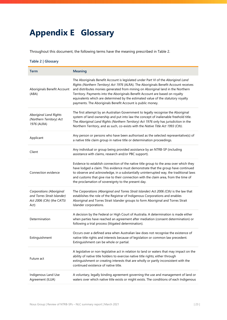## <span id="page-23-0"></span>**Appendix E Glossary**

Throughout this document, the following terms have the meaning prescribed in [Table 2.](#page-23-1)

#### <span id="page-23-1"></span>**Table 2 | Glossary**

| Term                                                                                         | <b>Meaning</b>                                                                                                                                                                                                                                                                                                                                                                                                                                                                                    |
|----------------------------------------------------------------------------------------------|---------------------------------------------------------------------------------------------------------------------------------------------------------------------------------------------------------------------------------------------------------------------------------------------------------------------------------------------------------------------------------------------------------------------------------------------------------------------------------------------------|
| Aboriginals Benefit Account<br>(ABA)                                                         | The Aboriginals Benefit Account is legislated under Part VI of the Aboriginal Land<br>Rights (Northern Territory) Act 1976 (ALRA). The Aboriginals Benefit Account receives<br>and distributes monies generated from mining on Aboriginal land in the Northern<br>Territory. Payments into the Aboriginals Benefit Account are based on royalty<br>equivalents which are determined by the estimated value of the statutory royalty<br>payments. The Aboriginals Benefit Account is public money. |
| <b>Aboriginal Land Rights</b><br>(Northern Territory) Act<br>1976 (ALRA)                     | The first attempt by an Australian Government to legally recognise the Aboriginal<br>system of land ownership and put into law the concept of inalienable freehold title.<br>The Aboriginal Land Rights (Northern Territory) Act 1976 only has jurisdiction in the<br>Northern Territory, and as such, co-exists with the Native Title Act 1993 (Cth).                                                                                                                                            |
| Applicant                                                                                    | Any person or persons who have been authorised as the selected representative(s) of<br>a native title claim group in native title or determination proceedings.                                                                                                                                                                                                                                                                                                                                   |
| Client                                                                                       | Any individual or group being provided assistance by an NTRB-SP (including<br>assistance with claims, research and/or PBC support).                                                                                                                                                                                                                                                                                                                                                               |
| Connection evidence                                                                          | Evidence to establish connection of the native title group to the area over which they<br>have lodged a claim. This evidence must demonstrate that the group have continued<br>to observe and acknowledge, in a substantially uninterrupted way, the traditional laws<br>and customs that give rise to their connection with the claim area, from the time of<br>the proclamation of sovereignty to the present day.                                                                              |
| Corporations (Aboriginal<br>and Torres Strait Islander)<br>Act 2006 (Cth) (the CATSI<br>Act) | The Corporations (Aboriginal and Torres Strait Islander) Act 2006 (Cth) is the law that<br>establishes the role of the Registrar of Indigenous Corporations and enables<br>Aboriginal and Torres Strait Islander groups to form Aboriginal and Torres Strait<br>Islander corporations.                                                                                                                                                                                                            |
| Determination                                                                                | A decision by the Federal or High Court of Australia. A determination is made either<br>when parties have reached an agreement after mediation (consent determination) or<br>following a trial process (litigated determination).                                                                                                                                                                                                                                                                 |
| Extinguishment                                                                               | Occurs over a defined area when Australian law does not recognise the existence of<br>native title rights and interests because of legislation or common law precedent.<br>Extinguishment can be whole or partial.                                                                                                                                                                                                                                                                                |
| Future act                                                                                   | A legislative or non-legislative act in relation to land or waters that may impact on the<br>ability of native title holders to exercise native title rights; either through<br>extinguishment or creating interests that are wholly or partly inconsistent with the<br>continued existence of native title.                                                                                                                                                                                      |
| Indigenous Land Use<br>Agreement (ILUA)                                                      | A voluntary, legally binding agreement governing the use and management of land or<br>waters over which native title exists or might exists. The conditions of each Indigenous                                                                                                                                                                                                                                                                                                                    |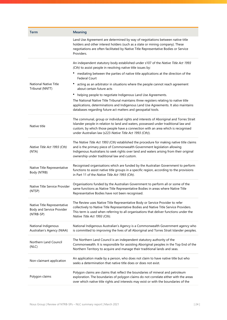| Term                                                                  | <b>Meaning</b>                                                                                                                                                                                                                                                                                                                |
|-----------------------------------------------------------------------|-------------------------------------------------------------------------------------------------------------------------------------------------------------------------------------------------------------------------------------------------------------------------------------------------------------------------------|
|                                                                       | Land Use Agreement are determined by way of negotiations between native title<br>holders and other interest holders (such as a state or mining company). These<br>negotiations are often facilitated by Native Title Representative Bodies or Service<br>Providers.                                                           |
|                                                                       | An independent statutory body established under s107 of the Native Title Act 1993<br>(Cth) to assist people in resolving native title issues by:                                                                                                                                                                              |
|                                                                       | mediating between the parties of native title applications at the direction of the<br>٠<br><b>Federal Court</b>                                                                                                                                                                                                               |
| <b>National Native Title</b><br>Tribunal (NNTT)                       | acting as an arbitrator in situations where the people cannot reach agreement<br>about certain future acts                                                                                                                                                                                                                    |
|                                                                       | helping people to negotiate Indigenous Land Use Agreements.                                                                                                                                                                                                                                                                   |
|                                                                       | The National Native Title Tribunal maintains three registers relating to native title<br>applications, determinations and Indigenous Land Use Agreements. It also maintains<br>databases regarding future act matters and geospatial tools.                                                                                   |
| Native title                                                          | The communal, group or individual rights and interests of Aboriginal and Torres Strait<br>Islander people in relation to land and waters, possessed under traditional law and<br>custom, by which those people have a connection with an area which is recognised<br>under Australian law (s223 Native Title Act 1993 (Cth)). |
| Native Title Act 1993 (Cth)<br>(NTA)                                  | The Native Title Act 1993 (Cth) established the procedure for making native title claims<br>and is the primary piece of Commonwealth Government legislation allowing<br>Indigenous Australians to seek rights over land and waters arising from their original<br>ownership under traditional law and custom.                 |
| Native Title Representative<br>Body (NTRB)                            | Recognised organisations which are funded by the Australian Government to perform<br>functions to assist native title groups in a specific region, according to the provisions<br>in Part 11 of the Native Title Act 1993 (Cth).                                                                                              |
| Native Title Service Provider<br>(NTSP)                               | Organisations funded by the Australian Government to perform all or some of the<br>same functions as Native Title Representative Bodies in areas where Native Title<br>Representative Bodies have not been recognised.                                                                                                        |
| Native Title Representative<br>Body and Service Provider<br>(NTRB-SP) | The Review uses Native Title Representative Body or Service Provider to refer<br>collectively to Native Title Representative Bodies and Native Title Service Providers.<br>This term is used when referring to all organisations that deliver functions under the<br>Native Title Act 1993 (Cth).                             |
| National Indigenous<br>Australian's Agency (NIAA)                     | National Indigenous Australian's Agency is a Commonwealth Government agency who<br>is committed to improving the lives of all Aboriginal and Torres Strait Islander peoples.                                                                                                                                                  |
| Northern Land Council<br>(NLC)                                        | The Northern Land Council is an independent statutory authority of the<br>Commonwealth. It is responsible for assisting Aboriginal peoples in the Top End of the<br>Northern Territory to acquire and manage their traditional lands and seas.                                                                                |
| Non-claimant application                                              | An application made by a person, who does not claim to have native title but who<br>seeks a determination that native title does or does not exist.                                                                                                                                                                           |
| Polygon claims                                                        | Polygon claims are claims that reflect the boundaries of mineral and petroleum<br>exploration. The boundaries of polygon claims do not correlate either with the areas<br>over which native title rights and interests may exist or with the boundaries of the                                                                |